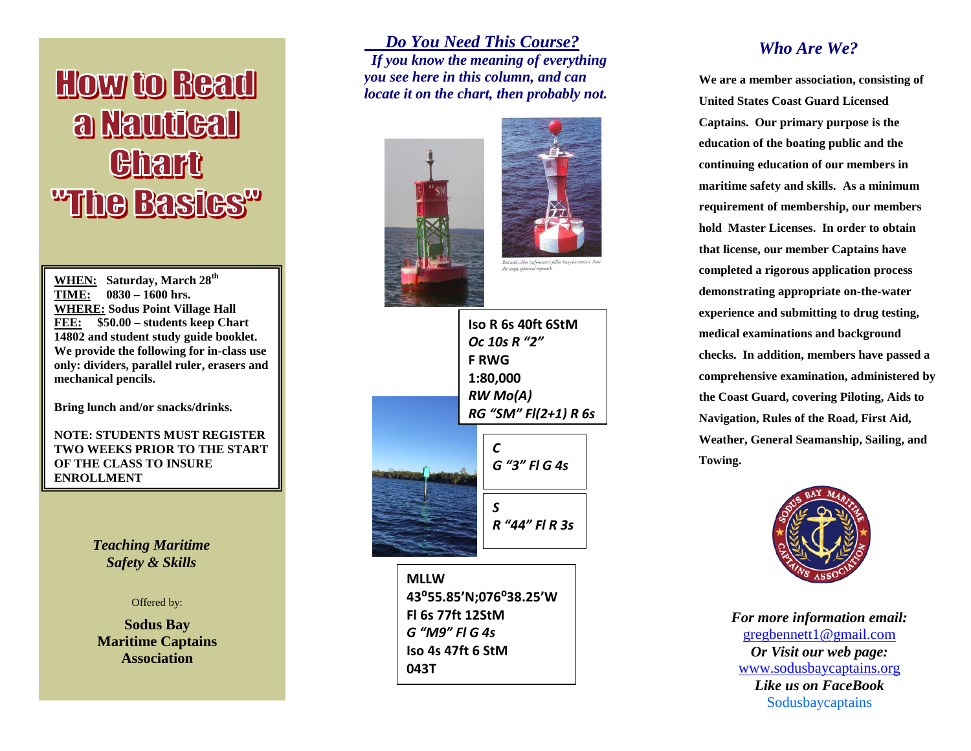# **How to Read** a Nautical **Chart** "The Basics"

**WHEN: Saturday, March 28th TIME: 0830 – 1600 hrs. WHERE: Sodus Point Village Hall FEE: \$50.00 – students keep Chart 14802 and student study guide booklet. We provide the following for in-class use only: dividers, parallel ruler, erasers and mechanical pencils.** 

**Bring lunch and/or snacks/drinks.**

**NOTE: STUDENTS MUST REGISTER TWO WEEKS PRIOR TO THE START OF THE CLASS TO INSURE ENROLLMENT**

> *Teaching Maritime Safety & Skills*

#### Offered by:

**Sodus Bay Maritime Captains Association**

 *Do You Need This Course? If you know the meaning of everything you see here in this column, and can locate it on the chart, then probably not.*





*S R "44" Fl R 3s* **Iso R 6s 40ft 6StM** *Oc 10s R "2"* **F RWG 1:80,000** *RW Mo(A) RG "SM" Fl(2+1) R 6s C G "3" Fl G 4s*

**MLLW 43⁰55.85'N;076⁰38.25'W Fl 6s 77ft 12StM** *G "M9" Fl G 4s* **Iso 4s 47ft 6 StM 043T**

#### *Who Are We?*

**We are a member association, consisting of United States Coast Guard Licensed Captains. Our primary purpose is the education of the boating public and the continuing education of our members in maritime safety and skills. As a minimum requirement of membership, our members hold Master Licenses. In order to obtain that license, our member Captains have completed a rigorous application process demonstrating appropriate on-the-water experience and submitting to drug testing, medical examinations and background checks. In addition, members have passed a comprehensive examination, administered by the Coast Guard, covering Piloting, Aids to Navigation, Rules of the Road, First Aid, Weather, General Seamanship, Sailing, and Towing.**



*For more information email:* [gregbennett1@gmail.com](mailto:gregbennett1@gmail.com)  *Or Visit our web page:* [www.sodusbaycaptains.org](http://www.sodusbaycaptains.org/) *Like us on FaceBook* Sodusbaycaptains